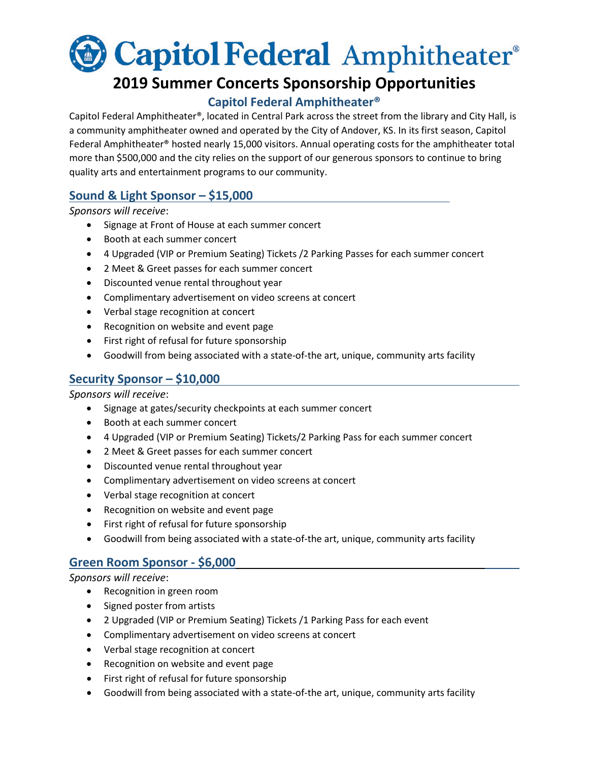

# **2019 Summer Concerts Sponsorship Opportunities**

## **Capitol Federal Amphitheater®**

Capitol Federal Amphitheater®, located in Central Park across the street from the library and City Hall, is a community amphitheater owned and operated by the City of Andover, KS. In its first season, Capitol Federal Amphitheater® hosted nearly 15,000 visitors. Annual operating costs for the amphitheater total more than \$500,000 and the city relies on the support of our generous sponsors to continue to bring quality arts and entertainment programs to our community.

## **Sound & Light Sponsor – \$15,000**

*Sponsors will receive*:

- Signage at Front of House at each summer concert
- Booth at each summer concert
- 4 Upgraded (VIP or Premium Seating) Tickets /2 Parking Passes for each summer concert
- 2 Meet & Greet passes for each summer concert
- Discounted venue rental throughout year
- Complimentary advertisement on video screens at concert
- Verbal stage recognition at concert
- Recognition on website and event page
- First right of refusal for future sponsorship
- Goodwill from being associated with a state-of-the art, unique, community arts facility

#### **Security Sponsor – \$10,000**

*Sponsors will receive*:

- Signage at gates/security checkpoints at each summer concert
- Booth at each summer concert
- 4 Upgraded (VIP or Premium Seating) Tickets/2 Parking Pass for each summer concert
- 2 Meet & Greet passes for each summer concert
- Discounted venue rental throughout year
- Complimentary advertisement on video screens at concert
- Verbal stage recognition at concert
- Recognition on website and event page
- First right of refusal for future sponsorship
- Goodwill from being associated with a state-of-the art, unique, community arts facility

#### **Green Room Sponsor - \$6,000**

*Sponsors will receive*:

- Recognition in green room
- Signed poster from artists
- 2 Upgraded (VIP or Premium Seating) Tickets /1 Parking Pass for each event
- Complimentary advertisement on video screens at concert
- Verbal stage recognition at concert
- Recognition on website and event page
- First right of refusal for future sponsorship
- Goodwill from being associated with a state-of-the art, unique, community arts facility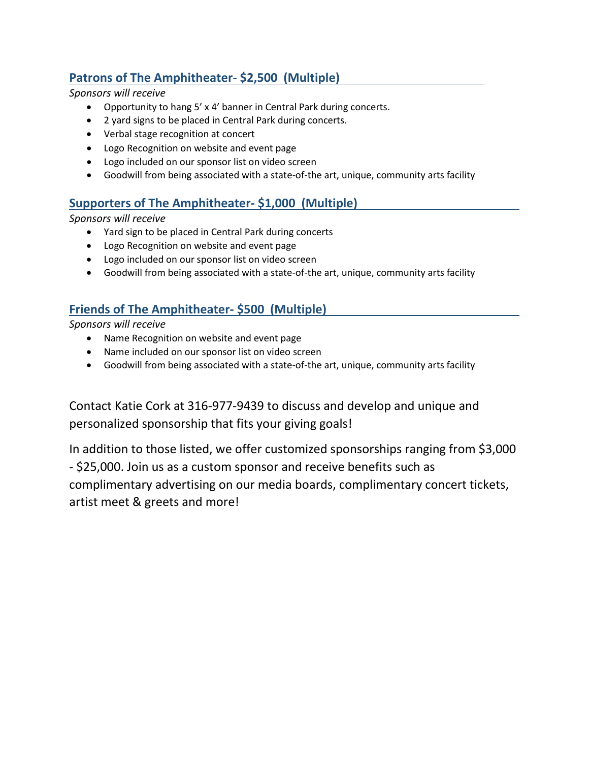# **Patrons of The Amphitheater- \$2,500 (Multiple)**

*Sponsors will receive*

- Opportunity to hang 5' x 4' banner in Central Park during concerts.
- 2 yard signs to be placed in Central Park during concerts.
- Verbal stage recognition at concert
- Logo Recognition on website and event page
- Logo included on our sponsor list on video screen
- Goodwill from being associated with a state-of-the art, unique, community arts facility

#### **Supporters of The Amphitheater- \$1,000 (Multiple)**

*Sponsors will receive*

- Yard sign to be placed in Central Park during concerts
- Logo Recognition on website and event page
- Logo included on our sponsor list on video screen
- Goodwill from being associated with a state-of-the art, unique, community arts facility

#### **Friends of The Amphitheater- \$500 (Multiple)**

*Sponsors will receive*

- Name Recognition on website and event page
- Name included on our sponsor list on video screen
- Goodwill from being associated with a state-of-the art, unique, community arts facility

Contact Katie Cork at 316-977-9439 to discuss and develop and unique and personalized sponsorship that fits your giving goals!

In addition to those listed, we offer customized sponsorships ranging from \$3,000 - \$25,000. Join us as a custom sponsor and receive benefits such as complimentary advertising on our media boards, complimentary concert tickets, artist meet & greets and more!